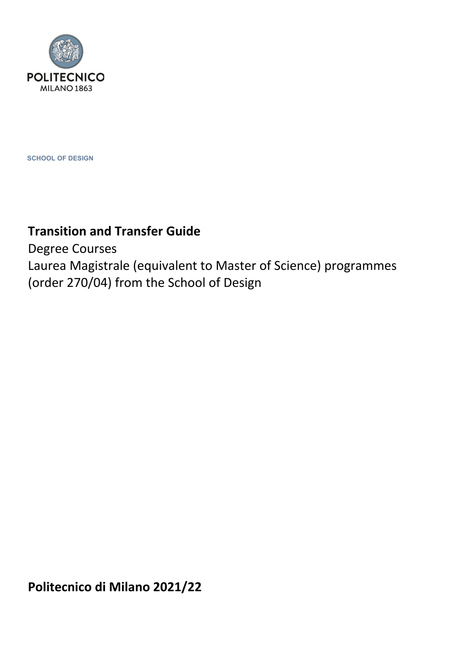

**SCHOOL OF DESIGN**

# **Transition and Transfer Guide**

Degree Courses Laurea Magistrale (equivalent to Master of Science) programmes (order 270/04) from the School of Design

**Politecnico di Milano 2021/22**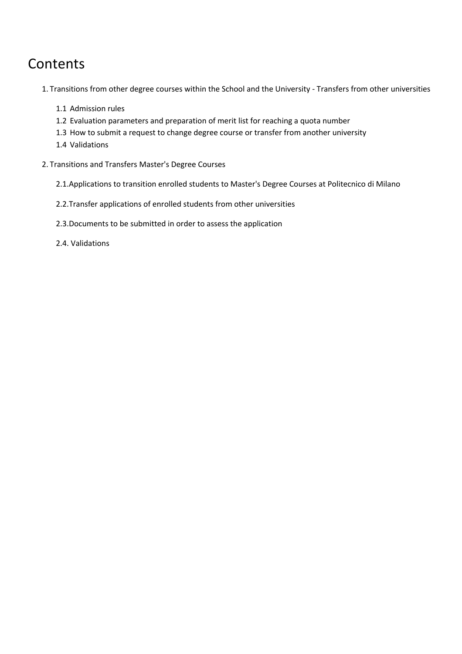# Contents

1. Transitions from other degree courses within the School and the University - Transfers from other universities

- 1.1 Admission rules
- 1.2 Evaluation parameters and preparation of merit list for reaching a quota number
- 1.3 How to submit a request to change degree course or transfer from another university
- 1.4 Validations
- 2. Transitions and Transfers Master's Degree Courses
	- 2.1.Applications to transition enrolled students to Master's Degree Courses at Politecnico di Milano
	- 2.2.Transfer applications of enrolled students from other universities
	- 2.3.Documents to be submitted in order to assess the application
	- 2.4. Validations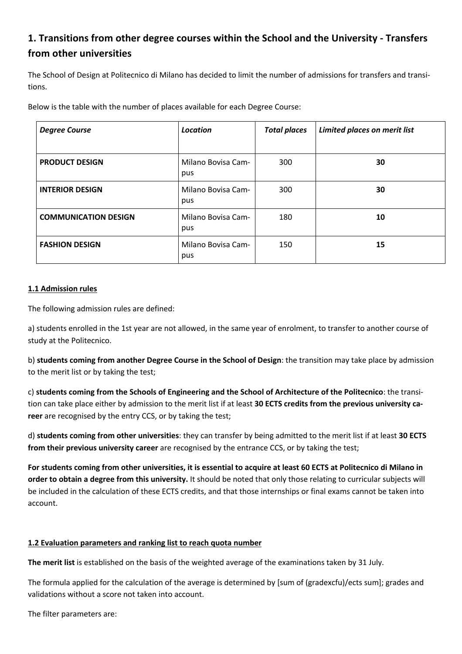# **1. Transitions from other degree courses within the School and the University - Transfers from other universities**

The School of Design at Politecnico di Milano has decided to limit the number of admissions for transfers and transitions.

Below is the table with the number of places available for each Degree Course:

| <b>Degree Course</b>        | <b>Location</b>           | <b>Total places</b> | Limited places on merit list |
|-----------------------------|---------------------------|---------------------|------------------------------|
| <b>PRODUCT DESIGN</b>       | Milano Bovisa Cam-<br>pus | 300                 | 30                           |
| <b>INTERIOR DESIGN</b>      | Milano Bovisa Cam-<br>pus | 300                 | 30                           |
| <b>COMMUNICATION DESIGN</b> | Milano Bovisa Cam-<br>pus | 180                 | 10                           |
| <b>FASHION DESIGN</b>       | Milano Bovisa Cam-<br>pus | 150                 | 15                           |

### **1.1 Admission rules**

The following admission rules are defined:

a) students enrolled in the 1st year are not allowed, in the same year of enrolment, to transfer to another course of study at the Politecnico.

b) **students coming from another Degree Course in the School of Design**: the transition may take place by admission to the merit list or by taking the test;

c) **students coming from the Schools of Engineering and the School of Architecture of the Politecnico**: the transition can take place either by admission to the merit list if at least **30 ECTS credits from the previous university career** are recognised by the entry CCS, or by taking the test;

d) **students coming from other universities**: they can transfer by being admitted to the merit list if at least **30 ECTS from their previous university career** are recognised by the entrance CCS, or by taking the test;

For students coming from other universities, it is essential to acquire at least 60 ECTS at Politecnico di Milano in **order to obtain a degree from this university.** It should be noted that only those relating to curricular subjects will be included in the calculation of these ECTS credits, and that those internships or final exams cannot be taken into account.

### **1.2 Evaluation parameters and ranking list to reach quota number**

**The merit list** is established on the basis of the weighted average of the examinations taken by 31 July.

The formula applied for the calculation of the average is determined by [sum of (gradexcfu)/ects sum]; grades and validations without a score not taken into account.

The filter parameters are: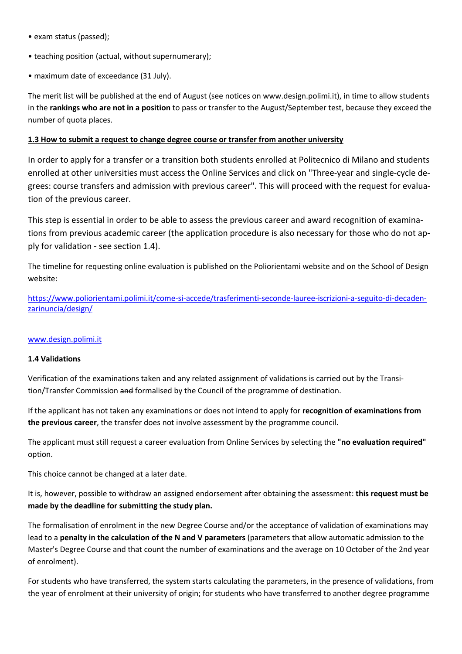- exam status (passed);
- teaching position (actual, without supernumerary);
- maximum date of exceedance (31 July).

The merit list will be published at the end of August (see notices on www.design.polimi.it), in time to allow students in the **rankings who are not in a position** to pass or transfer to the August/September test, because they exceed the number of quota places.

#### **1.3 How to submit a request to change degree course or transfer from another university**

In order to apply for a transfer or a transition both students enrolled at Politecnico di Milano and students enrolled at other universities must access the Online Services and click on "Three-year and single-cycle degrees: course transfers and admission with previous career". This will proceed with the request for evaluation of the previous career.

This step is essential in order to be able to assess the previous career and award recognition of examinations from previous academic career (the application procedure is also necessary for those who do not apply for validation - see section 1.4).

The timeline for requesting online evaluation is published on the Poliorientami website and on the School of Design website:

[https://www.poliorientami.polimi.it/come-si-accede/trasferimenti-seconde-lauree-iscrizioni-a-seguito-di-decaden](https://www.poliorientami.polimi.it/come-si-accede/trasferimenti-seconde-lauree-iscrizioni-a-seguito-di-decadenzarinuncia/design/)zarinuncia/design/

#### [www.design.polimi.it](https://www.design.polimi.it/it)

#### **1.4 Validations**

Verification of the examinations taken and any related assignment of validations is carried out by the Transition/Transfer Commission and formalised by the Council of the programme of destination.

If the applicant has not taken any examinations or does not intend to apply for **recognition of examinations from the previous career**, the transfer does not involve assessment by the programme council.

The applicant must still request a career evaluation from Online Services by selecting the **"no evaluation required"** option.

This choice cannot be changed at a later date.

It is, however, possible to withdraw an assigned endorsement after obtaining the assessment: **this request must be made by the deadline for submitting the study plan.**

The formalisation of enrolment in the new Degree Course and/or the acceptance of validation of examinations may lead to a **penalty in the calculation of the N and V parameters** (parameters that allow automatic admission to the Master's Degree Course and that count the number of examinations and the average on 10 October of the 2nd year of enrolment).

For students who have transferred, the system starts calculating the parameters, in the presence of validations, from the year of enrolment at their university of origin; for students who have transferred to another degree programme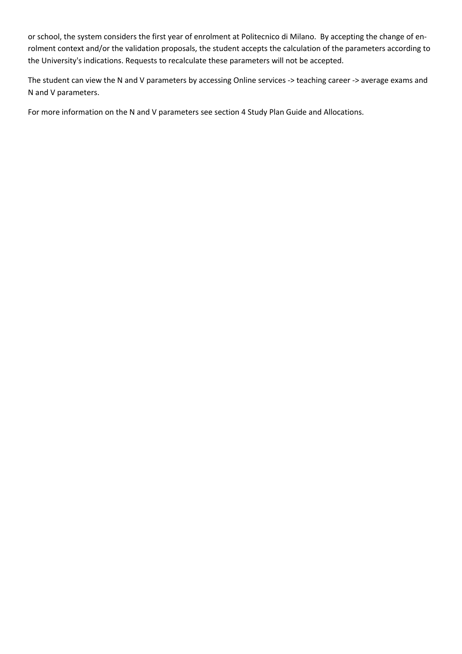or school, the system considers the first year of enrolment at Politecnico di Milano. By accepting the change of enrolment context and/or the validation proposals, the student accepts the calculation of the parameters according to the University's indications. Requests to recalculate these parameters will not be accepted.

The student can view the N and V parameters by accessing Online services -> teaching career -> average exams and N and V parameters.

For more information on the N and V parameters see section 4 Study Plan Guide and Allocations.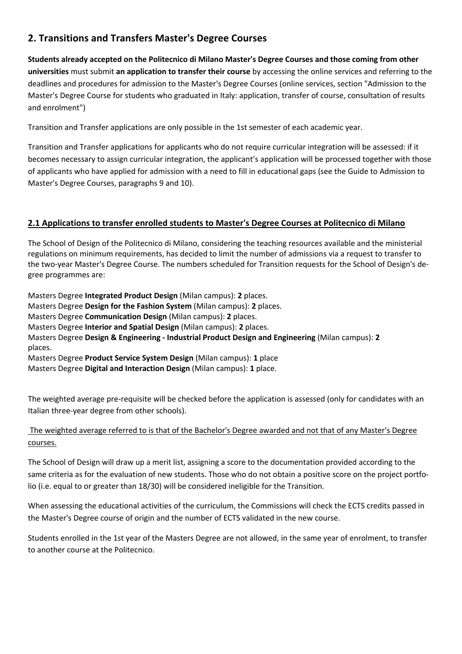# **2. Transitions and Transfers Master's Degree Courses**

**Students already accepted on the Politecnico di Milano Master's Degree Courses and those coming from other universities** must submit **an application to transfer their course** by accessing the online services and referring to the deadlines and procedures for admission to the Master's Degree Courses (online services, section "Admission to the Master's Degree Course for students who graduated in Italy: application, transfer of course, consultation of results and enrolment")

Transition and Transfer applications are only possible in the 1st semester of each academic year.

Transition and Transfer applications for applicants who do not require curricular integration will be assessed: if it becomes necessary to assign curricular integration, the applicant's application will be processed together with those of applicants who have applied for admission with a need to fill in educational gaps (see the Guide to Admission to Master's Degree Courses, paragraphs 9 and 10).

# **2.1 Applications to transfer enrolled students to Master's Degree Courses at Politecnico di Milano**

The School of Design of the Politecnico di Milano, considering the teaching resources available and the ministerial regulations on minimum requirements, has decided to limit the number of admissions via a request to transfer to the two-year Master's Degree Course. The numbers scheduled for Transition requests for the School of Design's degree programmes are:

Masters Degree **Integrated Product Design** (Milan campus): **2** places. Masters Degree **Design for the Fashion System** (Milan campus): **2** places. Masters Degree **Communication Design** (Milan campus): **2** places. Masters Degree **Interior and Spatial Design** (Milan campus): **2** places. Masters Degree **Design & Engineering - Industrial Product Design and Engineering** (Milan campus): **2** places. Masters Degree **Product Service System Design** (Milan campus): **1** place

Masters Degree **Digital and Interaction Design** (Milan campus): **1** place.

The weighted average pre-requisite will be checked before the application is assessed (only for candidates with an Italian three-year degree from other schools).

## The weighted average referred to is that of the Bachelor's Degree awarded and not that of any Master's Degree courses.

The School of Design will draw up a merit list, assigning a score to the documentation provided according to the same criteria as for the evaluation of new students. Those who do not obtain a positive score on the project portfolio (i.e. equal to or greater than 18/30) will be considered ineligible for the Transition.

When assessing the educational activities of the curriculum, the Commissions will check the ECTS credits passed in the Master's Degree course of origin and the number of ECTS validated in the new course.

Students enrolled in the 1st year of the Masters Degree are not allowed, in the same year of enrolment, to transfer to another course at the Politecnico.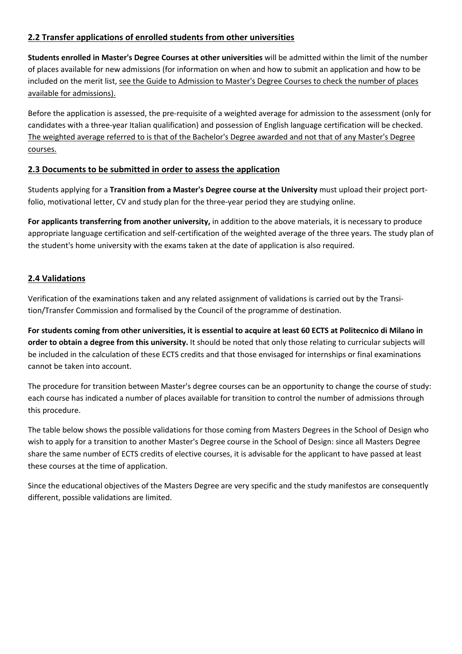# **2.2 Transfer applications of enrolled students from other universities**

**Students enrolled in Master's Degree Courses at other universities** will be admitted within the limit of the number of places available for new admissions (for information on when and how to submit an application and how to be included on the merit list, see the Guide to Admission to Master's Degree Courses to check the number of places available for admissions).

Before the application is assessed, the pre-requisite of a weighted average for admission to the assessment (only for candidates with a three-year Italian qualification) and possession of English language certification will be checked. The weighted average referred to is that of the Bachelor's Degree awarded and not that of any Master's Degree courses.

# **2.3 Documents to be submitted in order to assess the application**

Students applying for a **Transition from a Master's Degree course at the University** must upload their project portfolio, motivational letter, CV and study plan for the three-year period they are studying online.

**For applicants transferring from another university,** in addition to the above materials, it is necessary to produce appropriate language certification and self-certification of the weighted average of the three years. The study plan of the student's home university with the exams taken at the date of application is also required.

# **2.4 Validations**

Verification of the examinations taken and any related assignment of validations is carried out by the Transition/Transfer Commission and formalised by the Council of the programme of destination.

**For students coming from other universities, it is essential to acquire at least 60 ECTS at Politecnico di Milano in order to obtain a degree from this university.** It should be noted that only those relating to curricular subjects will be included in the calculation of these ECTS credits and that those envisaged for internships or final examinations cannot be taken into account.

The procedure for transition between Master's degree courses can be an opportunity to change the course of study: each course has indicated a number of places available for transition to control the number of admissions through this procedure.

The table below shows the possible validations for those coming from Masters Degrees in the School of Design who wish to apply for a transition to another Master's Degree course in the School of Design: since all Masters Degree share the same number of ECTS credits of elective courses, it is advisable for the applicant to have passed at least these courses at the time of application.

Since the educational objectives of the Masters Degree are very specific and the study manifestos are consequently different, possible validations are limited.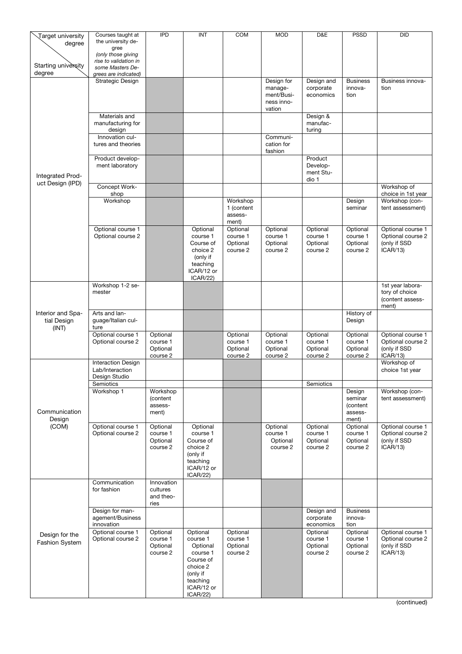| Target university                       | Courses taught at                         | <b>IPD</b>            | INT                    | COM                   | <b>MOD</b>            | D&E                    | <b>PSSD</b>          | <b>DID</b>                         |
|-----------------------------------------|-------------------------------------------|-----------------------|------------------------|-----------------------|-----------------------|------------------------|----------------------|------------------------------------|
| degree                                  | the university de-<br>gree                |                       |                        |                       |                       |                        |                      |                                    |
|                                         | (only those giving                        |                       |                        |                       |                       |                        |                      |                                    |
| Starting university                     | rise to validation in<br>some Masters De- |                       |                        |                       |                       |                        |                      |                                    |
| degree                                  | grees are indicated)                      |                       |                        |                       |                       |                        |                      |                                    |
|                                         | Strategic Design                          |                       |                        |                       | Design for            | Design and             | <b>Business</b>      | Business innova-                   |
|                                         |                                           |                       |                        |                       | manage-<br>ment/Busi- | corporate<br>economics | innova-<br>tion      | tion                               |
|                                         |                                           |                       |                        |                       | ness inno-            |                        |                      |                                    |
|                                         |                                           |                       |                        |                       | vation                |                        |                      |                                    |
|                                         | Materials and                             |                       |                        |                       |                       | Design &               |                      |                                    |
|                                         | manufacturing for<br>design               |                       |                        |                       |                       | manufac-<br>turing     |                      |                                    |
|                                         | Innovation cul-                           |                       |                        |                       | Communi-              |                        |                      |                                    |
|                                         | tures and theories                        |                       |                        |                       | cation for            |                        |                      |                                    |
|                                         | Product develop-                          |                       |                        |                       | fashion               | Product                |                      |                                    |
|                                         | ment laboratory                           |                       |                        |                       |                       | Develop-               |                      |                                    |
| Integrated Prod-                        |                                           |                       |                        |                       |                       | ment Stu-              |                      |                                    |
| uct Design (IPD)                        | Concept Work-                             |                       |                        |                       |                       | dio 1                  |                      | Workshop of                        |
|                                         | shop                                      |                       |                        |                       |                       |                        |                      | choice in 1st year                 |
|                                         | Workshop                                  |                       |                        | Workshop              |                       |                        | Design               | Workshop (con-                     |
|                                         |                                           |                       |                        | 1 (content<br>assess- |                       |                        | seminar              | tent assessment)                   |
|                                         |                                           |                       |                        | ment)                 |                       |                        |                      |                                    |
|                                         | Optional course 1                         |                       | Optional               | Optional              | Optional              | Optional               | Optional             | Optional course 1                  |
|                                         | Optional course 2                         |                       | course 1<br>Course of  | course 1<br>Optional  | course 1<br>Optional  | course 1<br>Optional   | course 1<br>Optional | Optional course 2<br>(only if SSD  |
|                                         |                                           |                       | choice 2               | course 2              | course 2              | course 2               | course 2             | ICAR/13                            |
|                                         |                                           |                       | (only if               |                       |                       |                        |                      |                                    |
|                                         |                                           |                       | teaching<br>ICAR/12 or |                       |                       |                        |                      |                                    |
|                                         |                                           |                       | ICAR/22                |                       |                       |                        |                      |                                    |
|                                         | Workshop 1-2 se-                          |                       |                        |                       |                       |                        |                      | 1st year labora-                   |
|                                         | mester                                    |                       |                        |                       |                       |                        |                      | tory of choice<br>(content assess- |
|                                         |                                           |                       |                        |                       |                       |                        |                      | ment)                              |
| Interior and Spa-                       | Arts and lan-                             |                       |                        |                       |                       |                        | History of           |                                    |
| tial Design<br>(INT)                    | guage/Italian cul-<br>ture                |                       |                        |                       |                       |                        | Design               |                                    |
|                                         | Optional course 1                         | Optional              |                        | Optional              | Optional              | Optional               | Optional             | Optional course 1                  |
|                                         | Optional course 2                         | course 1              |                        | course 1              | course 1              | course 1               | course 1             | Optional course 2                  |
|                                         |                                           | Optional<br>course 2  |                        | Optional<br>course 2  | Optional<br>course 2  | Optional<br>course 2   | Optional<br>course 2 | (only if SSD<br>ICAR/13)           |
|                                         | <b>Interaction Design</b>                 |                       |                        |                       |                       |                        |                      | Workshop of                        |
|                                         | Lab/Interaction                           |                       |                        |                       |                       |                        |                      | choice 1st year                    |
|                                         | Design Studio<br>Semiotics                |                       |                        |                       |                       | Semiotics              |                      |                                    |
|                                         | Workshop 1                                | Workshop              |                        |                       |                       |                        | Design               | Workshop (con-                     |
|                                         |                                           | (content              |                        |                       |                       |                        | seminar              | tent assessment)                   |
| Communication                           |                                           | assess-<br>ment)      |                        |                       |                       |                        | (content<br>assess-  |                                    |
| Design                                  |                                           |                       |                        |                       |                       |                        | ment)                |                                    |
| (COM)                                   | Optional course 1                         | Optional              | Optional               |                       | Optional              | Optional               | Optional             | Optional course 1                  |
|                                         | Optional course 2                         | course 1<br>Optional  | course 1<br>Course of  |                       | course 1<br>Optional  | course 1<br>Optional   | course 1<br>Optional | Optional course 2<br>(only if SSD  |
|                                         |                                           | course 2              | choice 2               |                       | course 2              | course 2               | course 2             | ICAR/13                            |
|                                         |                                           |                       | (only if               |                       |                       |                        |                      |                                    |
|                                         |                                           |                       | teaching<br>ICAR/12 or |                       |                       |                        |                      |                                    |
|                                         |                                           |                       | ICAR/22)               |                       |                       |                        |                      |                                    |
| Design for the<br><b>Fashion System</b> | Communication                             | Innovation            |                        |                       |                       |                        |                      |                                    |
|                                         | for fashion                               | cultures<br>and theo- |                        |                       |                       |                        |                      |                                    |
|                                         |                                           | ries                  |                        |                       |                       |                        |                      |                                    |
|                                         | Design for man-                           |                       |                        |                       |                       | Design and             | <b>Business</b>      |                                    |
|                                         | agement/Business<br>innovation            |                       |                        |                       |                       | corporate<br>economics | innova-<br>tion      |                                    |
|                                         | Optional course 1                         | Optional              | Optional               | Optional              |                       | Optional               | Optional             | Optional course 1                  |
|                                         | Optional course 2                         | course 1              | course 1               | course 1              |                       | course 1               | course 1             | Optional course 2                  |
|                                         |                                           | Optional<br>course 2  | Optional<br>course 1   | Optional<br>course 2  |                       | Optional<br>course 2   | Optional<br>course 2 | (only if SSD<br>ICAR/13            |
|                                         |                                           |                       | Course of              |                       |                       |                        |                      |                                    |
|                                         |                                           |                       | choice 2               |                       |                       |                        |                      |                                    |
|                                         |                                           |                       | (only if<br>teaching   |                       |                       |                        |                      |                                    |
|                                         |                                           |                       | ICAR/12 or             |                       |                       |                        |                      |                                    |
|                                         |                                           |                       | ICAR/22                |                       |                       |                        |                      |                                    |

(continued)